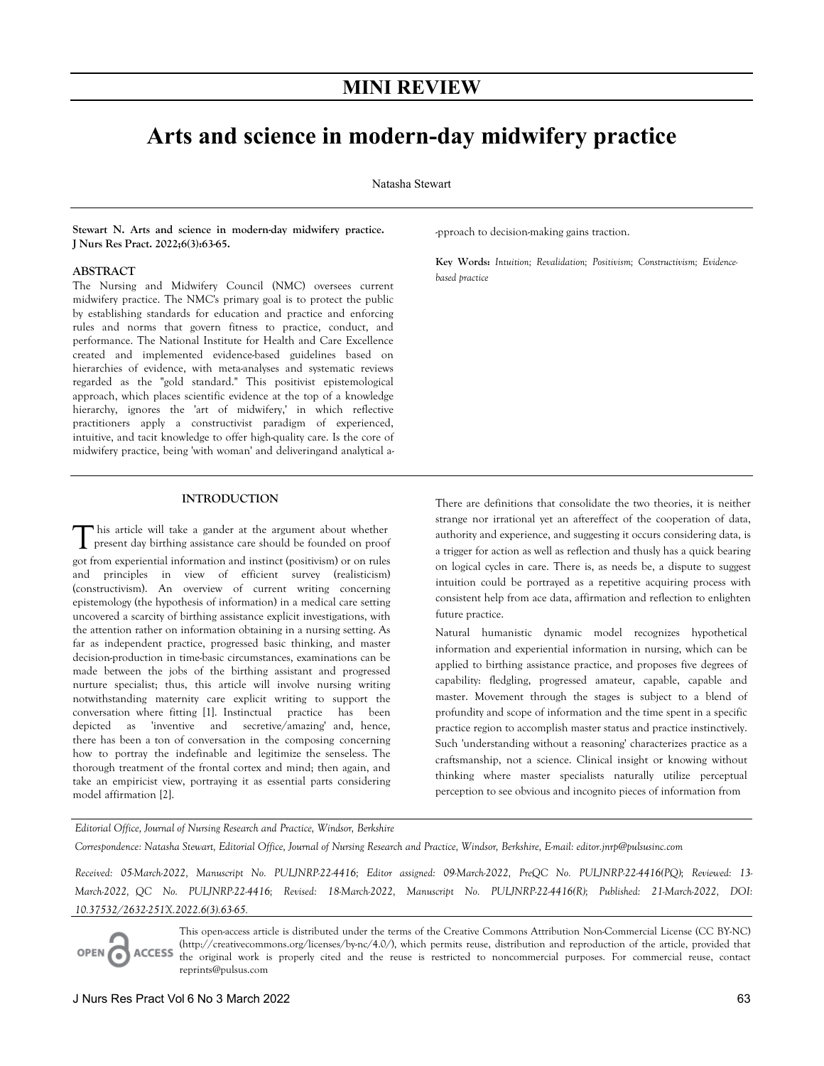# **MINI REVIEW**

# **Arts and science in modern-day midwifery practice**

Natasha Stewart

**Stewart N. Arts and science in modern-day midwifery practice. J Nurs Res Pract. 2022;6(3):63-65.** 

#### **ABSTRACT**

The Nursing and Midwifery Council (NMC) oversees current midwifery practice. The NMC's primary goal is to protect the public by establishing standards for education and practice and enforcing rules and norms that govern fitness to practice, conduct, and performance. The National Institute for Health and Care Excellence created and implemented evidence-based guidelines based on hierarchies of evidence, with meta-analyses and systematic reviews regarded as the "gold standard." This positivist epistemological approach, which places scientific evidence at the top of a knowledge hierarchy, ignores the 'art of midwifery,' in which reflective practitioners apply a constructivist paradigm of experienced, intuitive, and tacit knowledge to offer high-quality care. Is the core of midwifery practice, being 'with woman' and deliveringand analytical a-

### **INTRODUCTION**

his article will take a gander at the argument about whether This article will take a gander at the argument about whether present day birthing assistance care should be founded on proof got from experiential information and instinct (positivism) or on rules and principles in view of efficient survey (realisticism) (constructivism). An overview of current writing concerning epistemology (the hypothesis of information) in a medical care setting uncovered a scarcity of birthing assistance explicit investigations, with the attention rather on information obtaining in a nursing setting. As far as independent practice, progressed basic thinking, and master decision-production in time-basic circumstances, examinations can be made between the jobs of the birthing assistant and progressed nurture specialist; thus, this article will involve nursing writing notwithstanding maternity care explicit writing to support the conversation where fitting [1]. Instinctual practice has been depicted as 'inventive and secretive/amazing' and, hence, there has been a ton of conversation in the composing concerning how to portray the indefinable and legitimize the senseless. The thorough treatment of the frontal cortex and mind; then again, and take an empiricist view, portraying it as essential parts considering model affirmation [2].

-pproach to decision-making gains traction.

**Key Words:** *Intuition; Revalidation; Positivism; Constructivism; Evidencebased practice*

There are definitions that consolidate the two theories, it is neither strange nor irrational yet an aftereffect of the cooperation of data, authority and experience, and suggesting it occurs considering data, is a trigger for action as well as reflection and thusly has a quick bearing on logical cycles in care. There is, as needs be, a dispute to suggest intuition could be portrayed as a repetitive acquiring process with consistent help from ace data, affirmation and reflection to enlighten future practice.

Natural humanistic dynamic model recognizes hypothetical information and experiential information in nursing, which can be applied to birthing assistance practice, and proposes five degrees of capability: fledgling, progressed amateur, capable, capable and master. Movement through the stages is subject to a blend of profundity and scope of information and the time spent in a specific practice region to accomplish master status and practice instinctively. Such 'understanding without a reasoning' characterizes practice as a craftsmanship, not a science. Clinical insight or knowing without thinking where master specialists naturally utilize perceptual perception to see obvious and incognito pieces of information from

*Editorial Office, Journal of Nursing Research and Practice, Windsor, Berkshire* 

*Correspondence: Natasha Stewart, Editorial Office, Journal of Nursing Research and Practice, Windsor, Berkshire, E-mail: editor.jnrp@pulsusinc.com* 

*Received: 05-March-2022, Manuscript No. PULJNRP-22-4416; Editor assigned: 09-March-2022, PreQC No. PULJNRP-22-4416(PQ); Reviewed: 13- March-2022, QC No. PULJNRP-22-4416; Revised: 18-March-2022, Manuscript No. PULJNRP-22-4416(R); Published: 21-March-2022, DOI: 10.37532/2632-251X.2022.6(3).63-65.* 



This open-access article is distributed under the terms of the Creative Commons Attribution Non-Commercial License (CC BY-NC) (http://creativecommons.org/licenses/by-nc/4.0/), which permits reuse, distribution and reproduction of the article, provided that ACCESS the original work is properly cited and the reuse is restricted to noncommercial purposes. For commercial reuse, contact reprints@pulsus.com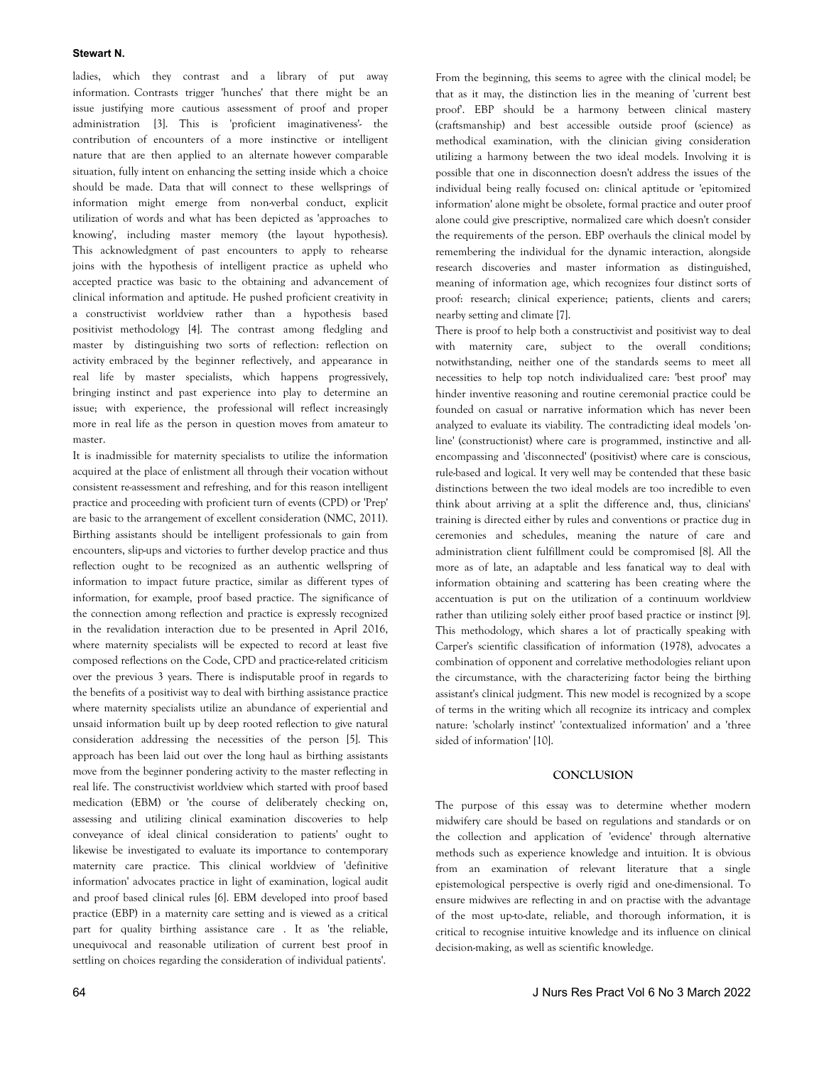#### **Stewart N.**

ladies, which they contrast and a library of put away information. Contrasts trigger 'hunches' that there might be an issue justifying more cautious assessment of proof and proper administration [3]. This is 'proficient imaginativeness'- the contribution of encounters of a more instinctive or intelligent nature that are then applied to an alternate however comparable situation, fully intent on enhancing the setting inside which a choice should be made. Data that will connect to these wellsprings of information might emerge from non-verbal conduct, explicit utilization of words and what has been depicted as 'approaches to knowing', including master memory (the layout hypothesis). This acknowledgment of past encounters to apply to rehearse joins with the hypothesis of intelligent practice as upheld who accepted practice was basic to the obtaining and advancement of clinical information and aptitude. He pushed proficient creativity in a constructivist worldview rather than a hypothesis based positivist methodology [4]. The contrast among fledgling and master by distinguishing two sorts of reflection: reflection on activity embraced by the beginner reflectively, and appearance in real life by master specialists, which happens progressively, bringing instinct and past experience into play to determine an issue; with experience, the professional will reflect increasingly more in real life as the person in question moves from amateur to master.

It is inadmissible for maternity specialists to utilize the information acquired at the place of enlistment all through their vocation without consistent re-assessment and refreshing, and for this reason intelligent practice and proceeding with proficient turn of events (CPD) or 'Prep' are basic to the arrangement of excellent consideration (NMC, 2011). Birthing assistants should be intelligent professionals to gain from encounters, slip-ups and victories to further develop practice and thus reflection ought to be recognized as an authentic wellspring of information to impact future practice, similar as different types of information, for example, proof based practice. The significance of the connection among reflection and practice is expressly recognized in the revalidation interaction due to be presented in April 2016, where maternity specialists will be expected to record at least five composed reflections on the Code, CPD and practice-related criticism over the previous 3 years. There is indisputable proof in regards to the benefits of a positivist way to deal with birthing assistance practice where maternity specialists utilize an abundance of experiential and unsaid information built up by deep rooted reflection to give natural consideration addressing the necessities of the person [5]. This approach has been laid out over the long haul as birthing assistants move from the beginner pondering activity to the master reflecting in real life. The constructivist worldview which started with proof based medication (EBM) or 'the course of deliberately checking on, assessing and utilizing clinical examination discoveries to help conveyance of ideal clinical consideration to patients' ought to likewise be investigated to evaluate its importance to contemporary maternity care practice. This clinical worldview of 'definitive information' advocates practice in light of examination, logical audit and proof based clinical rules [6]. EBM developed into proof based practice (EBP) in a maternity care setting and is viewed as a critical part for quality birthing assistance care . It as 'the reliable, unequivocal and reasonable utilization of current best proof in settling on choices regarding the consideration of individual patients'.

From the beginning, this seems to agree with the clinical model; be that as it may, the distinction lies in the meaning of 'current best proof'. EBP should be a harmony between clinical mastery (craftsmanship) and best accessible outside proof (science) as methodical examination, with the clinician giving consideration utilizing a harmony between the two ideal models. Involving it is possible that one in disconnection doesn't address the issues of the individual being really focused on: clinical aptitude or 'epitomized information' alone might be obsolete, formal practice and outer proof alone could give prescriptive, normalized care which doesn't consider the requirements of the person. EBP overhauls the clinical model by remembering the individual for the dynamic interaction, alongside research discoveries and master information as distinguished, meaning of information age, which recognizes four distinct sorts of proof: research; clinical experience; patients, clients and carers; nearby setting and climate [7].

There is proof to help both a constructivist and positivist way to deal with maternity care, subject to the overall conditions; notwithstanding, neither one of the standards seems to meet all necessities to help top notch individualized care: 'best proof' may hinder inventive reasoning and routine ceremonial practice could be founded on casual or narrative information which has never been analyzed to evaluate its viability. The contradicting ideal models 'online' (constructionist) where care is programmed, instinctive and allencompassing and 'disconnected' (positivist) where care is conscious, rule-based and logical. It very well may be contended that these basic distinctions between the two ideal models are too incredible to even think about arriving at a split the difference and, thus, clinicians' training is directed either by rules and conventions or practice dug in ceremonies and schedules, meaning the nature of care and administration client fulfillment could be compromised [8]. All the more as of late, an adaptable and less fanatical way to deal with information obtaining and scattering has been creating where the accentuation is put on the utilization of a continuum worldview rather than utilizing solely either proof based practice or instinct [9]. This methodology, which shares a lot of practically speaking with Carper's scientific classification of information (1978), advocates a combination of opponent and correlative methodologies reliant upon the circumstance, with the characterizing factor being the birthing assistant's clinical judgment. This new model is recognized by a scope of terms in the writing which all recognize its intricacy and complex nature: 'scholarly instinct' 'contextualized information' and a 'three sided of information' [10].

# **CONCLUSION**

The purpose of this essay was to determine whether modern midwifery care should be based on regulations and standards or on the collection and application of 'evidence' through alternative methods such as experience knowledge and intuition. It is obvious from an examination of relevant literature that a single epistemological perspective is overly rigid and one-dimensional. To ensure midwives are reflecting in and on practise with the advantage of the most up-to-date, reliable, and thorough information, it is critical to recognise intuitive knowledge and its influence on clinical decision-making, as well as scientific knowledge.